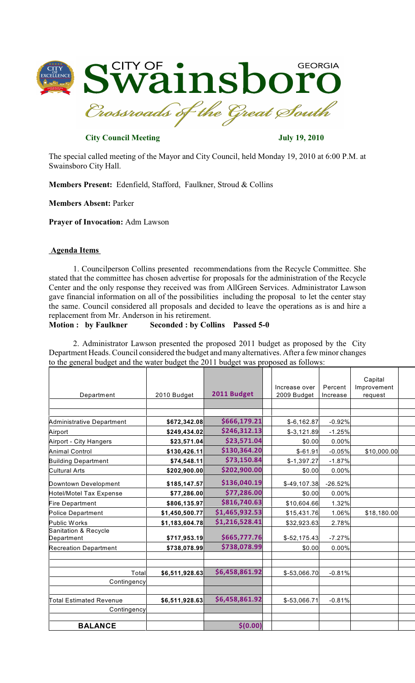

**City Council Meeting July 19, 2010** 

The special called meeting of the Mayor and City Council, held Monday 19, 2010 at 6:00 P.M. at Swainsboro City Hall.

**Members Present:** Edenfield, Stafford, Faulkner, Stroud & Collins

**Members Absent:** Parker

**Prayer of Invocation:** Adm Lawson

## **Agenda Items**

1. Councilperson Collins presented recommendations from the Recycle Committee. She stated that the committee has chosen advertise for proposals for the administration of the Recycle Center and the only response they received was from AllGreen Services. Administrator Lawson gave financial information on all of the possibilities including the proposal to let the center stay the same. Council considered all proposals and decided to leave the operations as is and hire a replacement from Mr. Anderson in his retirement.

## **Motion : by Faulkner Seconded : by Collins Passed 5-0**

2. Administrator Lawson presented the proposed 2011 budget as proposed by the City Department Heads. Council considered the budget and manyalternatives. After a fewminor changes to the general budget and the water budget the 2011 budget was proposed as follows:

|                                  |                |                |               |           | Capital     |  |
|----------------------------------|----------------|----------------|---------------|-----------|-------------|--|
|                                  |                |                | Increase over | Percent   | Improvement |  |
| Department                       | 2010 Budget    | 2011 Budget    | 2009 Budget   | Increase  | request     |  |
|                                  |                |                |               |           |             |  |
|                                  |                |                |               |           |             |  |
| <b>Administrative Department</b> | \$672,342.08   | \$666,179.21   | $$-6,162.87$  | $-0.92%$  |             |  |
| Airport                          | \$249,434.02   | \$246,312.13   | $$-3,121.89$  | $-1.25%$  |             |  |
| Airport - City Hangers           | \$23,571.04    | \$23,571.04    | \$0.00        | 0.00%     |             |  |
| <b>Animal Control</b>            | \$130,426.11   | \$130,364.20   | $$-61.91$     | $-0.05%$  | \$10,000.00 |  |
| <b>Building Department</b>       | \$74,548.11    | \$73,150.84    | $$-1,397.27$  | $-1.87%$  |             |  |
| <b>Cultural Arts</b>             | \$202,900.00   | \$202,900.00   | \$0.00        | 0.00%     |             |  |
| Downtown Development             | \$185,147.57   | \$136,040.19   | $$-49,107.38$ | $-26.52%$ |             |  |
| <b>Hotel/Motel Tax Expense</b>   | \$77,286.00    | \$77,286.00    | \$0.00        | 0.00%     |             |  |
| <b>Fire Department</b>           | \$806,135.97   | \$816,740.63   | \$10,604.66   | 1.32%     |             |  |
| <b>Police Department</b>         | \$1,450,500.77 | \$1,465,932.53 | \$15,431.76   | 1.06%     | \$18,180.00 |  |
| Public Works                     | \$1,183,604.78 | \$1,216,528.41 | \$32,923.63   | 2.78%     |             |  |
| Sanitation & Recycle             |                |                |               |           |             |  |
| Department                       | \$717,953.19   | \$665,777.76   | $$-52,175.43$ | $-7.27%$  |             |  |
| <b>Recreation Department</b>     | \$738,078.99   | \$738,078.99   | \$0.00        | 0.00%     |             |  |
|                                  |                |                |               |           |             |  |
| Total                            | \$6,511,928.63 | \$6,458,861.92 | $$-53,066.70$ | $-0.81%$  |             |  |
| Contingency                      |                |                |               |           |             |  |
|                                  |                |                |               |           |             |  |
| Total Estimated Revenue          | \$6,511,928.63 | \$6,458,861.92 | $$-53,066.71$ | $-0.81%$  |             |  |
| Contingency                      |                |                |               |           |             |  |
|                                  |                |                |               |           |             |  |
| <b>BALANCE</b>                   |                | \$(0.00)       |               |           |             |  |